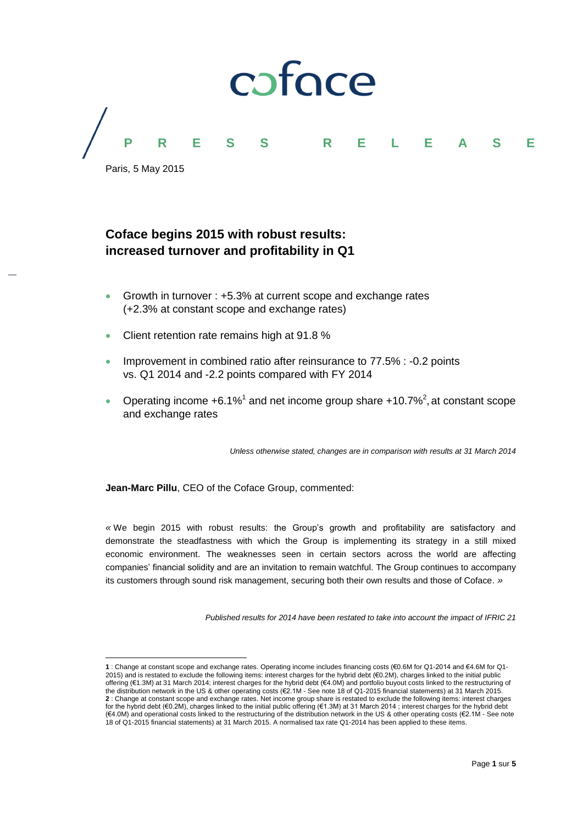

# **Coface begins 2015 with robust results: increased turnover and profitability in Q1**

- Growth in turnover : +5.3% at current scope and exchange rates (+2.3% at constant scope and exchange rates)
- Client retention rate remains high at 91.8 %
- Improvement in combined ratio after reinsurance to 77.5% : -0.2 points vs. Q1 2014 and -2.2 points compared with FY 2014
- Operating income  $+6.1\%$ <sup>1</sup> and net income group share  $+10.7\%$ <sup>2</sup>, at constant scope and exchange rates

*Unless otherwise stated, changes are in comparison with results at 31 March 2014*

**Jean-Marc Pillu**, CEO of the Coface Group, commented:

*«* We begin 2015 with robust results: the Group's growth and profitability are satisfactory and demonstrate the steadfastness with which the Group is implementing its strategy in a still mixed economic environment. The weaknesses seen in certain sectors across the world are affecting companies' financial solidity and are an invitation to remain watchful. The Group continues to accompany its customers through sound risk management, securing both their own results and those of Coface. *»*

*Published results for 2014 have been restated to take into account the impact of IFRIC 21* 

 $\overline{a}$ **1** : Change at constant scope and exchange rates. Operating income includes financing costs (€0.6M for Q1-2014 and €4.6M for Q1- 2015) and is restated to exclude the following items: interest charges for the hybrid debt (€0.2M), charges linked to the initial public offering (€1.3M) at 31 March 2014; interest charges for the hybrid debt (€4.0M) and portfolio buyout costs linked to the restructuring of the distribution network in the US & other operating costs (€2.1M - See note 18 of Q1-2015 financial statements) at 31 March 2015. **2** : Change at constant scope and exchange rates. Net income group share is restated to exclude the following items: interest charges for the hybrid debt (€0.2M), charges linked to the initial public offering (€1.3M) at 31 March 2014 ; interest charges for the hybrid debt (€4.0M) and operational costs linked to the restructuring of the distribution network in the US & other operating costs (€2.1M - See note 18 of Q1-2015 financial statements) at 31 March 2015. A normalised tax rate Q1-2014 has been applied to these items.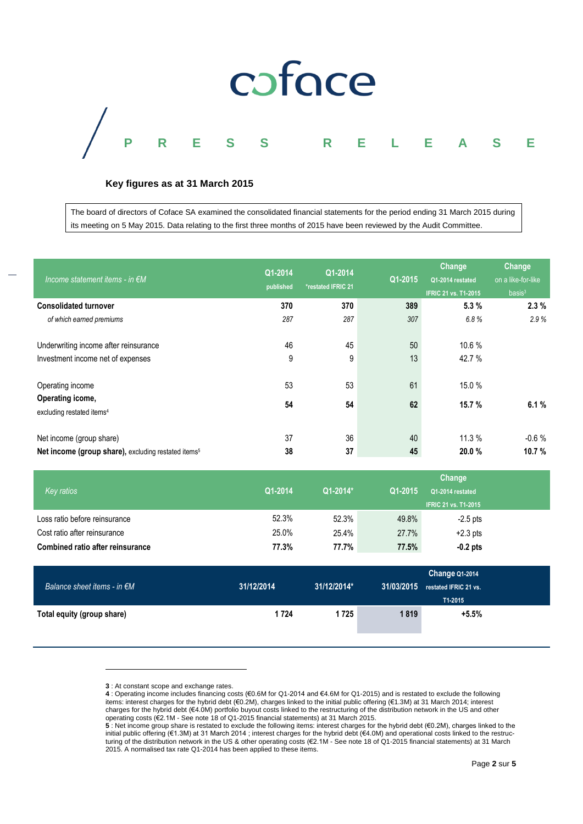

# **Key figures as at 31 March 2015**

The board of directors of Coface SA examined the consolidated financial statements for the period ending 31 March 2015 during its meeting on 5 May 2015. Data relating to the first three months of 2015 have been reviewed by the Audit Committee.

| Income statement items - in $\notin M$                                                      | Q1-2014<br>published | Q1-2014<br>*restated IFRIC 21 | Q1-2015  | Change<br>Q1-2014 restated<br><b>IFRIC 21 vs. T1-2015</b> | Change<br>on a like-for-like<br>basis <sup>3</sup> |
|---------------------------------------------------------------------------------------------|----------------------|-------------------------------|----------|-----------------------------------------------------------|----------------------------------------------------|
| <b>Consolidated turnover</b>                                                                | 370                  | 370                           | 389      | 5.3%                                                      | 2.3%                                               |
| of which earned premiums                                                                    | 287                  | 287                           | 307      | 6.8%                                                      | 2.9%                                               |
| Underwriting income after reinsurance<br>Investment income net of expenses                  | 46<br>9              | 45<br>9                       | 50<br>13 | 10.6 %<br>42.7 %                                          |                                                    |
| Operating income                                                                            | 53                   | 53                            | 61       | 15.0%                                                     |                                                    |
| Operating icome,<br>excluding restated items <sup>4</sup>                                   | 54                   | 54                            | 62       | 15.7 %                                                    | 6.1%                                               |
| Net income (group share)<br>Net income (group share), excluding restated items <sup>5</sup> | 37<br>38             | 36<br>37                      | 40<br>45 | 11.3%<br>20.0%                                            | $-0.6%$<br>10.7 %                                  |

| Key ratios                              | Q1-2014 | Q1-2014* | Q1-2015 | Change<br>Q1-2014 restated<br><b>IFRIC 21 vs. T1-2015</b> |  |
|-----------------------------------------|---------|----------|---------|-----------------------------------------------------------|--|
| Loss ratio before reinsurance           | 52.3%   | 52.3%    | 49.8%   | $-2.5$ pts                                                |  |
| Cost ratio after reinsurance            | 25.0%   | 25.4%    | 27.7%   | $+2.3$ pts                                                |  |
| <b>Combined ratio after reinsurance</b> | 77.3%   | 77.7%    | 77.5%   | $-0.2$ pts                                                |  |

| Balance sheet items - in $\notin M$ | 31/12/2014 | 31/12/2014* | 31/03/2015 | Change Q1-2014<br>restated IFRIC 21 vs.<br>T1-2015 |
|-------------------------------------|------------|-------------|------------|----------------------------------------------------|
| Total equity (group share)          | 1 7 2 4    | 1 725       | 1819       | $+5.5%$                                            |

**<sup>3</sup>** : At constant scope and exchange rates.

 $\overline{a}$ 

**4** : Operating income includes financing costs (€0.6M for Q1-2014 and €4.6M for Q1-2015) and is restated to exclude the following items: interest charges for the hybrid debt (€0.2M), charges linked to the initial public offering (€1.3M) at 31 March 2014; interest charges for the hybrid debt (€4.0M) portfolio buyout costs linked to the restructuring of the distribution network in the US and other

operating costs (€2.1M - See note 18 of Q1-2015 financial statements) at 31 March 2015.<br>**5** : Net income group share is restated to exclude the following items: interest charges for the hybrid debt (€0.2M), charges linked initial public offering (€1.3M) at 31 March 2014 ; interest charges for the hybrid debt (€4.0M) and operational costs linked to the restructuring of the distribution network in the US & other operating costs (€2.1M - See note 18 of Q1-2015 financial statements) at 31 March 2015. A normalised tax rate Q1-2014 has been applied to these items.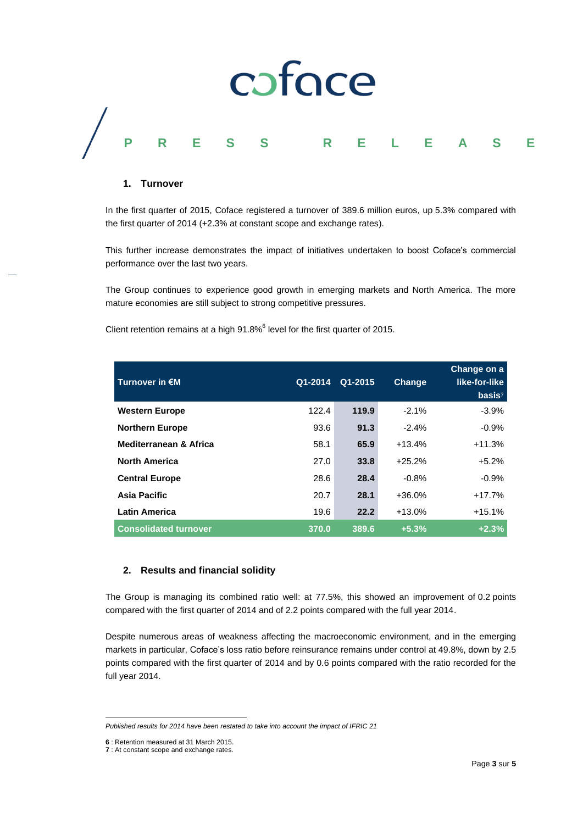

#### **1. Turnover**

In the first quarter of 2015, Coface registered a turnover of 389.6 million euros, up 5.3% compared with the first quarter of 2014 (+2.3% at constant scope and exchange rates).

This further increase demonstrates the impact of initiatives undertaken to boost Coface's commercial performance over the last two years.

The Group continues to experience good growth in emerging markets and North America. The more mature economies are still subject to strong competitive pressures.

Client retention remains at a high  $91.8\%$ <sup>6</sup> level for the first quarter of 2015.

| Turnover in €M               | Q1-2014 | Q1-2015 | <b>Change</b> | Change on a<br>like-for-like<br>basis <sup>7</sup> |
|------------------------------|---------|---------|---------------|----------------------------------------------------|
| <b>Western Europe</b>        | 122.4   | 119.9   | $-2.1%$       | $-3.9%$                                            |
| <b>Northern Europe</b>       | 93.6    | 91.3    | $-2.4%$       | $-0.9%$                                            |
| Mediterranean & Africa       | 58.1    | 65.9    | $+13.4%$      | $+11.3%$                                           |
| <b>North America</b>         | 27.0    | 33.8    | $+25.2%$      | $+5.2%$                                            |
| <b>Central Europe</b>        | 28.6    | 28.4    | $-0.8%$       | $-0.9%$                                            |
| Asia Pacific                 | 20.7    | 28.1    | $+36.0%$      | $+17.7%$                                           |
| <b>Latin America</b>         | 19.6    | 22.2    | $+13.0%$      | $+15.1%$                                           |
| <b>Consolidated turnover</b> | 370.0   | 389.6   | $+5.3%$       | $+2.3%$                                            |

## **2. Results and financial solidity**

The Group is managing its combined ratio well: at 77.5%, this showed an improvement of 0.2 points compared with the first quarter of 2014 and of 2.2 points compared with the full year 2014.

Despite numerous areas of weakness affecting the macroeconomic environment, and in the emerging markets in particular, Coface's loss ratio before reinsurance remains under control at 49.8%, down by 2.5 points compared with the first quarter of 2014 and by 0.6 points compared with the ratio recorded for the full year 2014.

l

*Published results for 2014 have been restated to take into account the impact of IFRIC 21*

**<sup>6</sup>** : Retention measured at 31 March 2015.

**<sup>7</sup>** : At constant scope and exchange rates.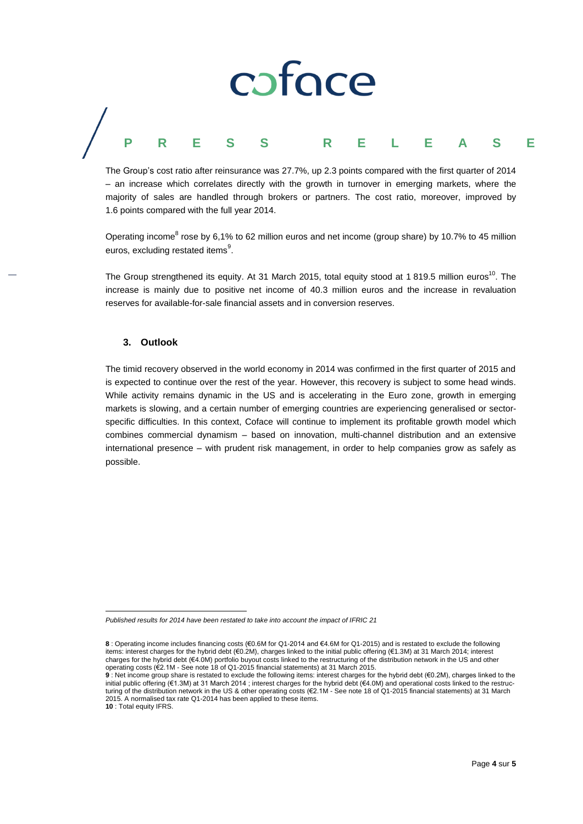# coface **PRESS R E L E A S E**

The Group's cost ratio after reinsurance was 27.7%, up 2.3 points compared with the first quarter of 2014 – an increase which correlates directly with the growth in turnover in emerging markets, where the majority of sales are handled through brokers or partners. The cost ratio, moreover, improved by 1.6 points compared with the full year 2014.

Operating income<sup>8</sup> rose by 6,1% to 62 million euros and net income (group share) by 10.7% to 45 million euros, excluding restated items<sup>9</sup>.

The Group strengthened its equity. At 31 March 2015, total equity stood at 1 819.5 million euros<sup>10</sup>. The increase is mainly due to positive net income of 40.3 million euros and the increase in revaluation reserves for available-for-sale financial assets and in conversion reserves.

### **3. Outlook**

l

The timid recovery observed in the world economy in 2014 was confirmed in the first quarter of 2015 and is expected to continue over the rest of the year. However, this recovery is subject to some head winds. While activity remains dynamic in the US and is accelerating in the Euro zone, growth in emerging markets is slowing, and a certain number of emerging countries are experiencing generalised or sectorspecific difficulties. In this context, Coface will continue to implement its profitable growth model which combines commercial dynamism – based on innovation, multi-channel distribution and an extensive international presence – with prudent risk management, in order to help companies grow as safely as possible.

Page **4** sur **5**

*Published results for 2014 have been restated to take into account the impact of IFRIC 21*

**<sup>8</sup>** : Operating income includes financing costs (€0.6M for Q1-2014 and €4.6M for Q1-2015) and is restated to exclude the following items: interest charges for the hybrid debt (€0.2M), charges linked to the initial public offering (€1.3M) at 31 March 2014; interest charges for the hybrid debt (€4.0M) portfolio buyout costs linked to the restructuring of the distribution network in the US and other operating costs (€2.1M - See note 18 of Q1-2015 financial statements) at 31 March 2015.

**<sup>9</sup>** : Net income group share is restated to exclude the following items: interest charges for the hybrid debt (€0.2M), charges linked to the initial public offering (€1.3M) at 31 March 2014 ; interest charges for the hybrid debt (€4.0M) and operational costs linked to the restructuring of the distribution network in the US & other operating costs (€2.1M - See note 18 of Q1-2015 financial statements) at 31 March 2015. A normalised tax rate Q1-2014 has been applied to these items. **10** : Total equity IFRS.